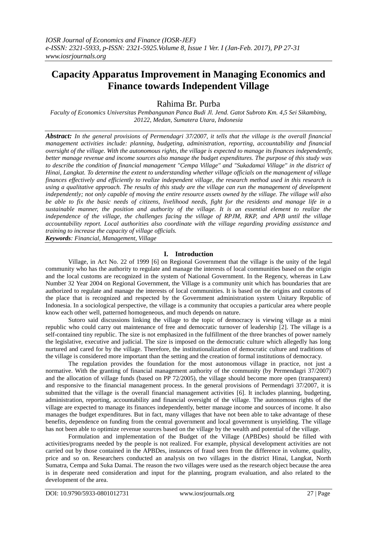# **Capacity Apparatus Improvement in Managing Economics and Finance towards Independent Village**

Rahima Br. Purba

*Faculty of Economics Universitas Pembangunan Panca Budi Jl. Jend. Gatot Subroto Km. 4,5 Sei Sikambing, 20122, Medan, Sumatera Utara, Indonesia*

*Abstract: In the general provisions of Permendagri 37/2007, it tells that the village is the overall financial management activities include: planning, budgeting, administration, reporting, accountability and financial oversight of the village. With the autonomous rights, the village is expected to manage its finances independently, better manage revenue and income sources also manage the budget expenditures. The purpose of this study was to describe the condition of financial management "Cempa Village" and "Sukadamai Village" in the district of Hinai, Langkat. To determine the extent to understanding whether village officials on the management of village finances effectively and efficiently to realize independent village, the research method used in this research is using a qualitative approach. The results of this study are the village can run the management of development independently; not only capable of moving the entire resource assets owned by the village. The village will also be able to fix the basic needs of citizens, livelihood needs, fight for the residents and manage life in a sustainable manner, the position and authority of the village. It is an essential element to realize the independence of the village, the challenges facing the village of RPJM, RKP, and APB until the village accountability report. Local authorities also coordinate with the village regarding providing assistance and training to increase the capacity of village officials. Keywords: Financial, Management, Village*

**I. Introduction**

Village, in Act No. 22 of 1999 [6] on Regional Government that the village is the unity of the legal community who has the authority to regulate and manage the interests of local communities based on the origin and the local customs are recognized in the system of National Government. In the Regency, whereas in Law Number 32 Year 2004 on Regional Government, the Village is a community unit which has boundaries that are authorized to regulate and manage the interests of local communities. It is based on the origins and customs of the place that is recognized and respected by the Government administration system Unitary Republic of Indonesia. In a sociological perspective, the village is a community that occupies a particular area where people know each other well, patterned homogeneous, and much depends on nature.

Sutoro said discussions linking the village to the topic of democracy is viewing village as a mini republic who could carry out maintenance of free and democratic turnover of leadership [2]. The village is a self-contained tiny republic. The size is not emphasized in the fulfillment of the three branches of power namely the legislative, executive and judicial. The size is imposed on the democratic culture which allegedly has long nurtured and cared for by the village. Therefore, the institutionalization of democratic culture and traditions of the village is considered more important than the setting and the creation of formal institutions of democracy.

The regulation provides the foundation for the most autonomous village in practice, not just a normative. With the granting of financial management authority of the community (by Permendagri 37/2007) and the allocation of village funds (based on PP 72/2005), the village should become more open (transparent) and responsive to the financial management process. In the general provisions of Permendagri 37/2007, it is submitted that the village is the overall financial management activities [6]. It includes planning, budgeting, administration, reporting, accountability and financial oversight of the village. The autonomous rights of the village are expected to manage its finances independently, better manage income and sources of income. It also manages the budget expenditures. But in fact, many villages that have not been able to take advantage of these benefits, dependence on funding from the central government and local government is unyielding. The village has not been able to optimize revenue sources based on the village by the wealth and potential of the village.

Formulation and implementation of the Budget of the Village (APBDes) should be filled with activities/programs needed by the people is not realized. For example, physical development activities are not carried out by those contained in the APBDes, instances of fraud seen from the difference in volume, quality, price and so on. Researchers conducted an analysis on two villages in the district Hinai, Langkat, North Sumatra, Cempa and Suka Damai. The reason the two villages were used as the research object because the area is in desperate need consideration and input for the planning, program evaluation, and also related to the development of the area.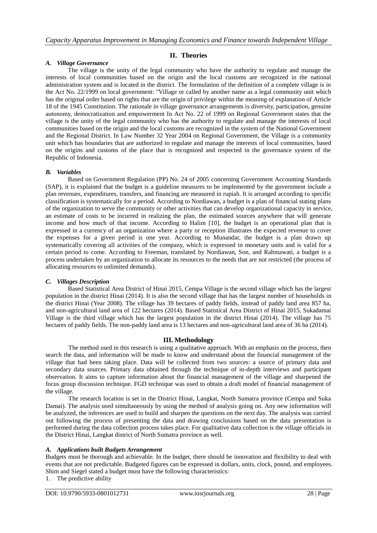### **II. Theories**

#### *A. Village Governance*

The village is the unity of the legal community who have the authority to regulate and manage the interests of local communities based on the origin and the local customs are recognized in the national administration system and is located in the district. The formulation of the definition of a complete village is in the Act No. 22/1999 on local government: "Village or called by another name as a legal community unit which has the original order based on rights that are the origin of privilege within the meaning of explanation of Article 18 of the 1945 Constitution. The rationale in village governance arrangements is diversity, participation, genuine autonomy, democratization and empowerment In Act No. 22 of 1999 on Regional Government states that the village is the unity of the legal community who has the authority to regulate and manage the interests of local communities based on the origin and the local customs are recognized in the system of the National Government and the Regional District. In Law Number 32 Year 2004 on Regional Government, the Village is a community unit which has boundaries that are authorized to regulate and manage the interests of local communities, based on the origins and customs of the place that is recognized and respected in the governance system of the Republic of Indonesia.

#### *B. Variables*

Based on Government Regulation (PP) No. 24 of 2005 concerning Government Accounting Standards (SAP), it is explained that the budget is a guideline measures to be implemented by the government include a plan revenues, expenditures, transfers, and financing are measured in rupiah. It is arranged according to specific classification is systematically for a period. According to Nordiawan, a budget is a plan of financial stating plans of the organization to serve the community or other activities that can develop organizational capacity in service, an estimate of costs to be incurred in realizing the plan, the estimated sources anywhere that will generate income and how much of that income. According to Halim [10], the budget is an operational plan that is expressed in a currency of an organization where a party or reception illustrates the expected revenue to cover the expenses for a given period is one year. According to Munandar, the budget is a plan drawn up systematically covering all activities of the company, which is expressed in monetary units and is valid for a certain period to come. According to Freeman, translated by Nordiawan, Son, and Rahmawati, a budget is a process undertaken by an organization to allocate its resources to the needs that are not restricted (the process of allocating resources to unlimited demands).

#### *C. Villages Description*

Based Statistical Area District of Hinai 2015, Cempa Village is the second village which has the largest population in the district Hinai (2014). It is also the second village that has the largest number of households in the district Hinai (Year 2008). The village has 39 hectares of paddy fields, instead of paddy land area 857 ha, and non-agricultural land area of 122 hectares (2014). Based Statistical Area District of Hinai 2015, Sukadamai Village is the third village which has the largest population in the district Hinai (2014). The village has 75 hectares of paddy fields. The non-paddy land area is 13 hectares and non-agricultural land area of 36 ha (2014).

#### **III. Methodology**

The method used in this research is using a qualitative approach. With an emphasis on the process, then search the data, and information will be made to know and understand about the financial management of the village that had been taking place. Data will be collected from two sources: a source of primary data and secondary data sources. Primary data obtained through the technique of in-depth interviews and participant observation. It aims to capture information about the financial management of the village and sharpened the focus group discussion technique. FGD technique was used to obtain a draft model of financial management of the village.

The research location is set in the District Hinai, Langkat, North Sumatra province (Cempa and Suka Damai). The analysis used simultaneously by using the method of analysis going on. Any new information will be analyzed, the inferences are used to build and sharpen the questions on the next day. The analysis was carried out following the process of presenting the data and drawing conclusions based on the data presentation is performed during the data collection process takes place. For qualitative data collection is the village officials in the District Hinai, Langkat district of North Sumatra province as well.

#### *A. Applications built Budgets Arrangement*

Budgets must be thorough and achievable. In the budget, there should be innovation and flexibility to deal with events that are not predictable. Budgeted figures can be expressed in dollars, units, clock, pound, and employees. Shim and Siegel stated a budget must have the following characteristics:

1. The predictive ability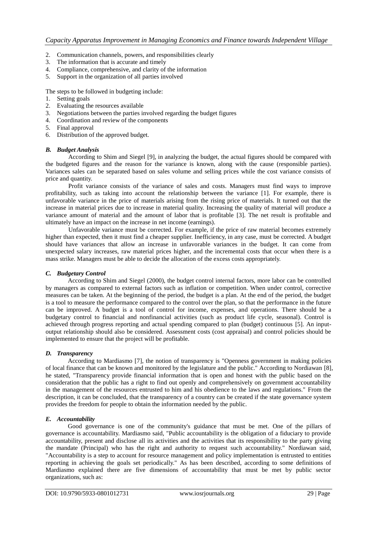- 2. Communication channels, powers, and responsibilities clearly
- 3. The information that is accurate and timely
- 4. Compliance, comprehensive, and clarity of the information
- 5. Support in the organization of all parties involved

The steps to be followed in budgeting include:

- 1. Setting goals
- 2. Evaluating the resources available
- 3. Negotiations between the parties involved regarding the budget figures
- 4. Coordination and review of the components
- 5. Final approval
- 6. Distribution of the approved budget.

#### *B. Budget Analysis*

According to Shim and Siegel [9], in analyzing the budget, the actual figures should be compared with the budgeted figures and the reason for the variance is known, along with the cause (responsible parties). Variances sales can be separated based on sales volume and selling prices while the cost variance consists of price and quantity.

Profit variance consists of the variance of sales and costs. Managers must find ways to improve profitability, such as taking into account the relationship between the variance [1]. For example, there is unfavorable variance in the price of materials arising from the rising price of materials. It turned out that the increase in material prices due to increase in material quality. Increasing the quality of material will produce a variance amount of material and the amount of labor that is profitable [3]. The net result is profitable and ultimately have an impact on the increase in net income (earnings).

Unfavorable variance must be corrected. For example, if the price of raw material becomes extremely higher than expected, then it must find a cheaper supplier. Inefficiency, in any case, must be corrected. A budget should have variances that allow an increase in unfavorable variances in the budget. It can come from unexpected salary increases, raw material prices higher, and the incremental costs that occur when there is a mass strike. Managers must be able to decide the allocation of the excess costs appropriately.

#### *C. Budgetary Control*

According to Shim and Siegel (2000), the budget control internal factors, more labor can be controlled by managers as compared to external factors such as inflation or competition. When under control, corrective measures can be taken. At the beginning of the period, the budget is a plan. At the end of the period, the budget is a tool to measure the performance compared to the control over the plan, so that the performance in the future can be improved. A budget is a tool of control for income, expenses, and operations. There should be a budgetary control to financial and nonfinancial activities (such as product life cycle, seasonal). Control is achieved through progress reporting and actual spending compared to plan (budget) continuous [5]. An inputoutput relationship should also be considered. Assessment costs (cost appraisal) and control policies should be implemented to ensure that the project will be profitable.

## *D. Transparency*

According to Mardiasmo [7], the notion of transparency is "Openness government in making policies of local finance that can be known and monitored by the legislature and the public." According to Nordiawan [8], he stated, "Transparency provide financial information that is open and honest with the public based on the consideration that the public has a right to find out openly and comprehensively on government accountability in the management of the resources entrusted to him and his obedience to the laws and regulations." From the description, it can be concluded, that the transparency of a country can be created if the state governance system provides the freedom for people to obtain the information needed by the public.

## *E. Accountability*

Good governance is one of the community's guidance that must be met. One of the pillars of governance is accountability. Mardiasmo said, "Public accountability is the obligation of a fiduciary to provide accountability, present and disclose all its activities and the activities that its responsibility to the party giving the mandate (Principal) who has the right and authority to request such accountability." Nordiawan said, "Accountability is a step to account for resource management and policy implementation is entrusted to entities reporting in achieving the goals set periodically." As has been described, according to some definitions of Mardiasmo explained there are five dimensions of accountability that must be met by public sector organizations, such as: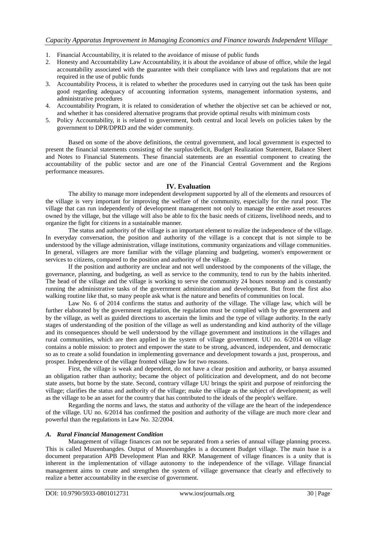- 1. Financial Accountability, it is related to the avoidance of misuse of public funds
- 2. Honesty and Accountability Law Accountability, it is about the avoidance of abuse of office, while the legal accountability associated with the guarantee with their compliance with laws and regulations that are not required in the use of public funds
- 3. Accountability Process, it is related to whether the procedures used in carrying out the task has been quite good regarding adequacy of accounting information systems, management information systems, and administrative procedures
- 4. Accountability Program, it is related to consideration of whether the objective set can be achieved or not, and whether it has considered alternative programs that provide optimal results with minimum costs
- 5. Policy Accountability, it is related to government, both central and local levels on policies taken by the government to DPR/DPRD and the wider community.

Based on some of the above definitions, the central government, and local government is expected to present the financial statements consisting of the surplus/deficit, Budget Realization Statement, Balance Sheet and Notes to Financial Statements. These financial statements are an essential component to creating the accountability of the public sector and are one of the Financial Central Government and the Regions performance measures.

## **IV. Evaluation**

The ability to manage more independent development supported by all of the elements and resources of the village is very important for improving the welfare of the community, especially for the rural poor. The village that can run independently of development management not only to manage the entire asset resources owned by the village, but the village will also be able to fix the basic needs of citizens, livelihood needs, and to organize the fight for citizens in a sustainable manner.

The status and authority of the village is an important element to realize the independence of the village. In everyday conversation, the position and authority of the village is a concept that is not simple to be understood by the village administration, village institutions, community organizations and village communities. In general, villagers are more familiar with the village planning and budgeting, women's empowerment or services to citizens, compared to the position and authority of the village.

If the position and authority are unclear and not well understood by the components of the village, the governance, planning, and budgeting, as well as service to the community, tend to run by the habits inherited. The head of the village and the village is working to serve the community 24 hours nonstop and is constantly running the administrative tasks of the government administration and development. But from the first also walking routine like that, so many people ask what is the nature and benefits of communities on local.

Law No. 6 of 2014 confirms the status and authority of the village. The village law, which will be further elaborated by the government regulation, the regulation must be complied with by the government and by the village, as well as guided directions to ascertain the limits and the type of village authority. In the early stages of understanding of the position of the village as well as understanding and kind authority of the village and its consequences should be well understood by the village government and institutions in the villages and rural communities, which are then applied in the system of village government. UU no. 6/2014 on village contains a noble mission: to protect and empower the state to be strong, advanced, independent, and democratic so as to create a solid foundation in implementing governance and development towards a just, prosperous, and prosper. Independence of the village fronted village law for two reasons.

First, the village is weak and dependent, do not have a clear position and authority, or banya assumed an obligation rather than authority; became the object of politicization and development, and do not become state assets, but borne by the state. Second, contrary village UU brings the spirit and purpose of reinforcing the village; clarifies the status and authority of the village; make the village as the subject of development; as well as the village to be an asset for the country that has contributed to the ideals of the people's welfare.

Regarding the norms and laws, the status and authority of the village are the heart of the independence of the village. UU no. 6/2014 has confirmed the position and authority of the village are much more clear and powerful than the regulations in Law No. 32/2004.

#### *A. Rural Financial Management Condition*

Management of village finances can not be separated from a series of annual village planning process. This is called Musrenbangdes. Output of Musrenbangdes is a document Budget village. The main base is a document preparation APB Development Plan and RKP. Management of village finances is a unity that is inherent in the implementation of village autonomy to the independence of the village. Village financial management aims to create and strengthen the system of village governance that clearly and effectively to realize a better accountability in the exercise of government.